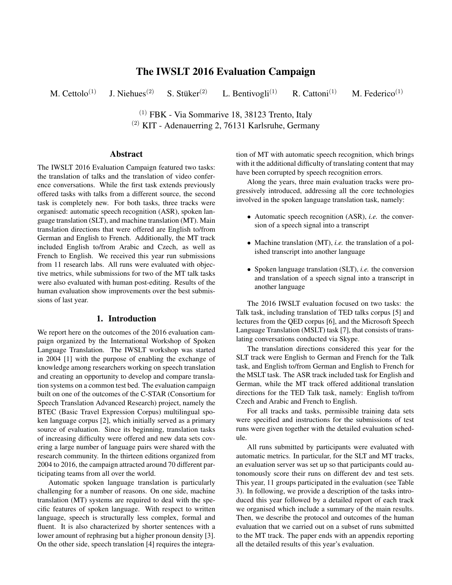# The IWSLT 2016 Evaluation Campaign

M. Cettolo<sup>(1)</sup> J. Niehues<sup>(2)</sup> S. Stüker<sup>(2)</sup> L. Bentivogli<sup>(1)</sup> R. Cattoni<sup>(1)</sup> M. Federico<sup>(1)</sup>

> $(1)$  FBK - Via Sommarive 18, 38123 Trento, Italy (2) KIT - Adenauerring 2, 76131 Karlsruhe, Germany

## Abstract

The IWSLT 2016 Evaluation Campaign featured two tasks: the translation of talks and the translation of video conference conversations. While the first task extends previously offered tasks with talks from a different source, the second task is completely new. For both tasks, three tracks were organised: automatic speech recognition (ASR), spoken language translation (SLT), and machine translation (MT). Main translation directions that were offered are English to/from German and English to French. Additionally, the MT track included English to/from Arabic and Czech, as well as French to English. We received this year run submissions from 11 research labs. All runs were evaluated with objective metrics, while submissions for two of the MT talk tasks were also evaluated with human post-editing. Results of the human evaluation show improvements over the best submissions of last year.

## 1. Introduction

We report here on the outcomes of the 2016 evaluation campaign organized by the International Workshop of Spoken Language Translation. The IWSLT workshop was started in 2004 [1] with the purpose of enabling the exchange of knowledge among researchers working on speech translation and creating an opportunity to develop and compare translation systems on a common test bed. The evaluation campaign built on one of the outcomes of the C-STAR (Consortium for Speech Translation Advanced Research) project, namely the BTEC (Basic Travel Expression Corpus) multilingual spoken language corpus [2], which initially served as a primary source of evaluation. Since its beginning, translation tasks of increasing difficulty were offered and new data sets covering a large number of language pairs were shared with the research community. In the thirteen editions organized from 2004 to 2016, the campaign attracted around 70 different participating teams from all over the world.

Automatic spoken language translation is particularly challenging for a number of reasons. On one side, machine translation (MT) systems are required to deal with the specific features of spoken language. With respect to written language, speech is structurally less complex, formal and fluent. It is also characterized by shorter sentences with a lower amount of rephrasing but a higher pronoun density [3]. On the other side, speech translation [4] requires the integration of MT with automatic speech recognition, which brings with it the additional difficulty of translating content that may have been corrupted by speech recognition errors.

Along the years, three main evaluation tracks were progressively introduced, addressing all the core technologies involved in the spoken language translation task, namely:

- Automatic speech recognition (ASR), *i.e.* the conversion of a speech signal into a transcript
- Machine translation (MT), *i.e.* the translation of a polished transcript into another language
- Spoken language translation (SLT), *i.e.* the conversion and translation of a speech signal into a transcript in another language

The 2016 IWSLT evaluation focused on two tasks: the Talk task, including translation of TED talks corpus [5] and lectures from the QED corpus [6], and the Microsoft Speech Language Translation (MSLT) task [7], that consists of translating conversations conducted via Skype.

The translation directions considered this year for the SLT track were English to German and French for the Talk task, and English to/from German and English to French for the MSLT task. The ASR track included task for English and German, while the MT track offered additional translation directions for the TED Talk task, namely: English to/from Czech and Arabic and French to English.

For all tracks and tasks, permissible training data sets were specified and instructions for the submissions of test runs were given together with the detailed evaluation schedule.

All runs submitted by participants were evaluated with automatic metrics. In particular, for the SLT and MT tracks, an evaluation server was set up so that participants could autonomously score their runs on different dev and test sets. This year, 11 groups participated in the evaluation (see Table 3). In following, we provide a description of the tasks introduced this year followed by a detailed report of each track we organised which include a summary of the main results. Then, we describe the protocol and outcomes of the human evaluation that we carried out on a subset of runs submitted to the MT track. The paper ends with an appendix reporting all the detailed results of this year's evaluation.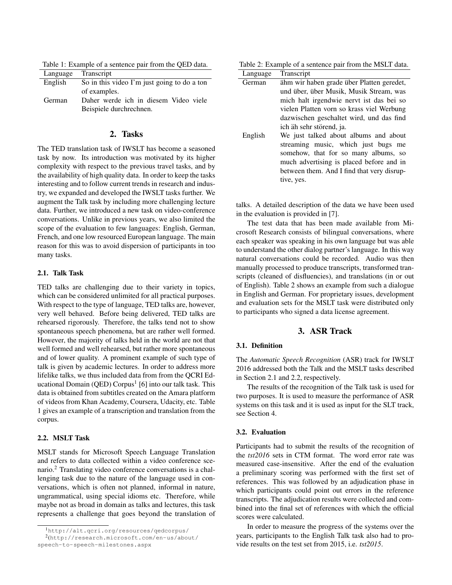Table 1: Example of a sentence pair from the QED data.

|         | Language Transcript                         |  |  |
|---------|---------------------------------------------|--|--|
| English | So in this video I'm just going to do a ton |  |  |
|         | of examples.                                |  |  |
| German  | Daher werde ich in diesem Video viele       |  |  |
|         | Beispiele durchrechnen.                     |  |  |

## 2. Tasks

The TED translation task of IWSLT has become a seasoned task by now. Its introduction was motivated by its higher complexity with respect to the previous travel tasks, and by the availability of high quality data. In order to keep the tasks interesting and to follow current trends in research and industry, we expanded and developed the IWSLT tasks further. We augment the Talk task by including more challenging lecture data. Further, we introduced a new task on video-conference conversations. Unlike in previous years, we also limited the scope of the evaluation to few languages: English, German, French, and one low resourced European language. The main reason for this was to avoid dispersion of participants in too many tasks.

#### 2.1. Talk Task

TED talks are challenging due to their variety in topics, which can be considered unlimited for all practical purposes. With respect to the type of language, TED talks are, however, very well behaved. Before being delivered, TED talks are rehearsed rigorously. Therefore, the talks tend not to show spontaneous speech phenomena, but are rather well formed. However, the majority of talks held in the world are not that well formed and well rehearsed, but rather more spontaneous and of lower quality. A prominent example of such type of talk is given by academic lectures. In order to address more lifelike talks, we thus included data from from the QCRI Educational Domain (QED) Corpus<sup>1</sup> [6] into our talk task. This data is obtained from subtitles created on the Amara platform of videos from Khan Academy, Coursera, Udacity, etc. Table 1 gives an example of a transcription and translation from the corpus.

## 2.2. MSLT Task

MSLT stands for Microsoft Speech Language Translation and refers to data collected within a video conference scenario.<sup>2</sup> Translating video conference conversations is a challenging task due to the nature of the language used in conversations, which is often not planned, informal in nature, ungrammatical, using special idioms etc. Therefore, while maybe not as broad in domain as talks and lectures, this task represents a challenge that goes beyond the translation of

Table 2: Example of a sentence pair from the MSLT data.

| Language | <b>Transcript</b>                                                                                                                                                                                                            |
|----------|------------------------------------------------------------------------------------------------------------------------------------------------------------------------------------------------------------------------------|
| German   | ähm wir haben grade über Platten geredet,                                                                                                                                                                                    |
|          | und über, über Musik, Musik Stream, was<br>mich halt irgendwie nervt ist das bei so<br>vielen Platten vorn so krass viel Werbung<br>dazwischen geschaltet wird, und das find<br>ich äh sehr störend, ja.                     |
| English  | We just talked about albums and about<br>streaming music, which just bugs me<br>somehow, that for so many albums, so<br>much advertising is placed before and in<br>between them. And I find that very disrup-<br>tive, yes. |

talks. A detailed description of the data we have been used in the evaluation is provided in [7].

The test data that has been made available from Microsoft Research consists of bilingual conversations, where each speaker was speaking in his own language but was able to understand the other dialog partner's language. In this way natural conversations could be recorded. Audio was then manually processed to produce transcripts, transformed transcripts (cleaned of disfluencies), and translations (in or out of English). Table 2 shows an example from such a dialogue in English and German. For proprietary issues, development and evaluation sets for the MSLT task were distributed only to participants who signed a data license agreement.

## 3. ASR Track

## 3.1. Definition

The *Automatic Speech Recognition* (ASR) track for IWSLT 2016 addressed both the Talk and the MSLT tasks described in Section 2.1 and 2.2, respectively.

The results of the recognition of the Talk task is used for two purposes. It is used to measure the performance of ASR systems on this task and it is used as input for the SLT track, see Section 4.

#### 3.2. Evaluation

Participants had to submit the results of the recognition of the *tst2016* sets in CTM format. The word error rate was measured case-insensitive. After the end of the evaluation a preliminary scoring was performed with the first set of references. This was followed by an adjudication phase in which participants could point out errors in the reference transcripts. The adjudication results were collected and combined into the final set of references with which the official scores were calculated.

In order to measure the progress of the systems over the years, participants to the English Talk task also had to provide results on the test set from 2015, i.e. *tst2015*.

<sup>1</sup>http://alt.qcri.org/resources/qedcorpus/

<sup>2</sup> (http://research.microsoft.com/en-us/about/ speech-to-speech-milestones.aspx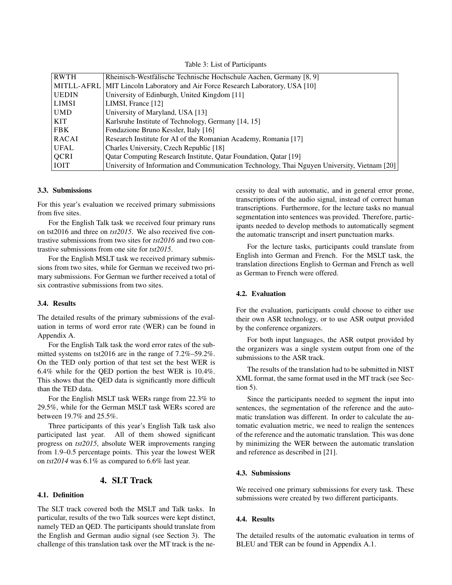Table 3: List of Participants

| <b>RWTH</b>  | Rheinisch-Westfälische Technische Hochschule Aachen, Germany [8, 9]                          |
|--------------|----------------------------------------------------------------------------------------------|
| MITLL-AFRL   | MIT Lincoln Laboratory and Air Force Research Laboratory, USA [10]                           |
| <b>UEDIN</b> | University of Edinburgh, United Kingdom [11]                                                 |
| <b>LIMSI</b> | LIMSI, France $[12]$                                                                         |
| <b>UMD</b>   | University of Maryland, USA [13]                                                             |
| KIT          | Karlsruhe Institute of Technology, Germany [14, 15]                                          |
| <b>FBK</b>   | Fondazione Bruno Kessler, Italy [16]                                                         |
| <b>RACAI</b> | Research Institute for AI of the Romanian Academy, Romania [17]                              |
| <b>UFAL</b>  | Charles University, Czech Republic [18]                                                      |
| <b>QCRI</b>  | <b>Qatar Computing Research Institute, Qatar Foundation, Qatar [19]</b>                      |
| <b>IOIT</b>  | University of Information and Communication Technology, Thai Nguyen University, Vietnam [20] |

## 3.3. Submissions

For this year's evaluation we received primary submissions from five sites.

For the English Talk task we received four primary runs on tst2016 and three on *tst2015*. We also received five contrastive submissions from two sites for *tst2016* and two contrastive submissions from one site for *tst2015*.

For the English MSLT task we received primary submissions from two sites, while for German we received two primary submissions. For German we further received a total of six contrastive submissions from two sites.

#### 3.4. Results

The detailed results of the primary submissions of the evaluation in terms of word error rate (WER) can be found in Appendix A.

For the English Talk task the word error rates of the submitted systems on tst2016 are in the range of 7.2%–59.2%. On the TED only portion of that test set the best WER is 6.4% while for the QED portion the best WER is 10.4%. This shows that the QED data is significantly more difficult than the TED data.

For the English MSLT task WERs range from 22.3% to 29.5%, while for the German MSLT task WERs scored are between 19.7% and 25.5%.

Three participants of this year's English Talk task also participated last year. All of them showed significant progress on *tst2015*, absolute WER improvements ranging from 1.9–0.5 percentage points. This year the lowest WER on *tst2014* was 6.1% as compared to 6.6% last year.

## 4. SLT Track

#### 4.1. Definition

The SLT track covered both the MSLT and Talk tasks. In particular, results of the two Talk sources were kept distinct, namely TED an QED. The participants should translate from the English and German audio signal (see Section 3). The challenge of this translation task over the MT track is the necessity to deal with automatic, and in general error prone, transcriptions of the audio signal, instead of correct human transcriptions. Furthermore, for the lecture tasks no manual segmentation into sentences was provided. Therefore, participants needed to develop methods to automatically segment the automatic transcript and insert punctuation marks.

For the lecture tasks, participants could translate from English into German and French. For the MSLT task, the translation directions English to German and French as well as German to French were offered.

## 4.2. Evaluation

For the evaluation, participants could choose to either use their own ASR technology, or to use ASR output provided by the conference organizers.

For both input languages, the ASR output provided by the organizers was a single system output from one of the submissions to the ASR track.

The results of the translation had to be submitted in NIST XML format, the same format used in the MT track (see Section 5).

Since the participants needed to segment the input into sentences, the segmentation of the reference and the automatic translation was different. In order to calculate the automatic evaluation metric, we need to realign the sentences of the reference and the automatic translation. This was done by minimizing the WER between the automatic translation and reference as described in [21].

## 4.3. Submissions

We received one primary submissions for every task. These submissions were created by two different participants.

#### 4.4. Results

The detailed results of the automatic evaluation in terms of BLEU and TER can be found in Appendix A.1.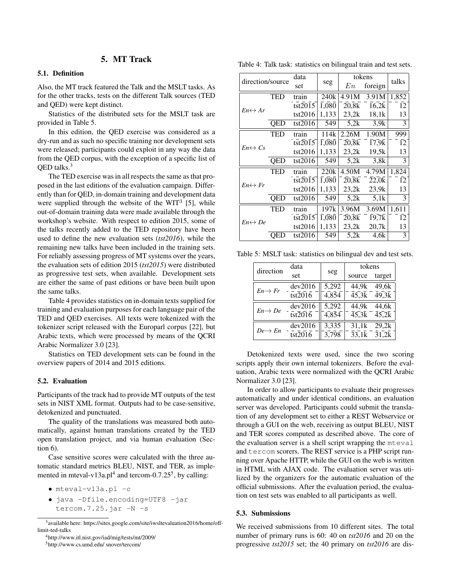## 5. MT Track

## 5.1. Definition

Also, the MT track featured the Talk and the MSLT tasks. As for the other tracks, tests on the different Talk sources (TED and QED) were kept distinct.

Statistics of the distributed sets for the MSLT task are provided in Table 5.

In this edition, the QED exercise was considered as a dry-run and as such no specific training nor development sets were released; participants could exploit in any way the data from the QED corpus, with the exception of a specific list of OED talks.<sup>3</sup>

The TED exercise was in all respects the same as that proposed in the last editions of the evaluation campaign. Differently than for QED, in-domain training and development data were supplied through the website of the WIT $3$  [5], while out-of-domain training data were made available through the workshop's website. With respect to edition 2015, some of the talks recently added to the TED repository have been used to define the new evaluation sets (*tst2016*), while the remaining new talks have been included in the training sets. For reliably assessing progress of MT systems over the years, the evaluation sets of edition 2015 (*tst2015*) were distributed as progressive test sets, when available. Development sets are either the same of past editions or have been built upon the same talks.

Table 4 provides statistics on in-domain texts supplied for training and evaluation purposes for each language pair of the TED and QED exercises. All texts were tokenized with the tokenizer script released with the Europarl corpus [22], but Arabic texts, which were processed by means of the QCRI Arabic Normalizer 3.0 [23].

Statistics on TED development sets can be found in the overview papers of 2014 and 2015 editions.

#### 5.2. Evaluation

Participants of the track had to provide MT outputs of the test sets in NIST XML format. Outputs had to be case-sensitive, detokenized and punctuated.

The quality of the translations was measured both automatically, against human translations created by the TED open translation project, and via human evaluation (Section 6).

Case sensitive scores were calculated with the three automatic standard metrics BLEU, NIST, and TER, as implemented in mteval-v13a.pl<sup>4</sup> and tercom-0.7.25<sup>5</sup>, by calling:

- mteval-v13a.pl -c
- java -Dfile.encoding=UTF8 -jar tercom.  $7.25$ . jar  $-N$  -s

<sup>4</sup>http://www.itl.nist.gov/iad/mig/tests/mt/2009/

Table 4: Talk task: statistics on bilingual train and test sets.

| direction/source        |            | data    |                    |                                       | tokens                                   | talks          |
|-------------------------|------------|---------|--------------------|---------------------------------------|------------------------------------------|----------------|
|                         |            |         | seg                | En                                    | foreign                                  |                |
|                         | <b>TED</b> | train   | 240 <sub>k</sub>   | 4.91M                                 | 3.91M                                    | 1,852          |
| $En \leftrightarrow Ar$ |            | tst2015 | $\overline{1,080}$ | 20.8k                                 | 16,2k                                    | 12             |
|                         |            | tst2016 | 1,133              | 23.2k                                 | 18,1k                                    | 13             |
|                         | OED        | tst2016 | 549                | 5.2k                                  | 3,9k                                     | 3              |
|                         | TED        | train   | 114k               | 2.26M                                 | 1.90M                                    | 999            |
| $En \leftrightarrow Cs$ |            | tst2015 | $\overline{1,080}$ | 20,8k                                 | $\overline{17,9}$ <sub>k</sub>           | 12             |
|                         |            | tst2016 | 1,133              | 23.2k                                 | 19.5k                                    | 13             |
|                         | OED        | tst2016 | 549                | 5.2k                                  | 3.8k                                     | 3              |
|                         | TED        | train   | 220k               | 4.50M                                 | 4.79M                                    | 1,824          |
| $En \leftrightarrow Fr$ |            | tst2015 | 1.080              | 20,8k                                 | $\overline{2}2\overline{.}0\overline{k}$ | 12             |
|                         |            | tst2016 | 1,133              | 23.2k                                 | 23.9k                                    | 13             |
|                         | QED        | tst2016 | 549                | 5.2k                                  | 5.1k                                     | 3              |
|                         | TED        | train   | 197k               | 3.96M                                 | 3.69M                                    | 1,611          |
| $En \leftrightarrow De$ |            | tst2015 | $\overline{1,080}$ | $20,\!\!\overline{8}\!\!\overline{k}$ | $\overline{19,7k}$                       | 12             |
|                         |            | tst2016 | 1,133              | 23,2k                                 | 20.7k                                    | 13             |
|                         | OED        | tst2016 | 549                | 5,2k                                  | 4.6k                                     | $\overline{3}$ |

Table 5: MSLT task: statistics on bilingual dev and test sets.

| direction           | data                                                                |       | tokens                                |        |
|---------------------|---------------------------------------------------------------------|-------|---------------------------------------|--------|
|                     | set                                                                 | seg   | source                                | target |
|                     | dev2016                                                             | 5,292 | 44.9k 49.6k                           |        |
| $En \rightarrow Fr$ | $\overline{\text{t}}$ st $\overline{2016}$                          | 4,854 | $\overline{45,3k}$ $\overline{49,3k}$ |        |
| $En \rightarrow De$ | dev2016                                                             | 5,292 | 44.9k 44.6k                           |        |
|                     | $\overline{\text{t}}$ st $\overline{2016}$                          | 4,854 | $\overline{45,3k}$ $\overline{45,2k}$ |        |
| $De \rightarrow En$ | dev2016                                                             | 3,335 | 31,1k 29,2k                           |        |
|                     | $\overline{\text{t}}$ st $\overline{\text{20}}\overline{\text{16}}$ | 3,798 | $\overline{33,1k}$ $\overline{31,2k}$ |        |

Detokenized texts were used, since the two scoring scripts apply their own internal tokenizers. Before the evaluation, Arabic texts were normalized with the QCRI Arabic Normalizer 3.0 [23].

In order to allow participants to evaluate their progresses automatically and under identical conditions, an evaluation server was developed. Participants could submit the translation of any development set to either a REST Webservice or through a GUI on the web, receiving as output BLEU, NIST and TER scores computed as described above. The core of the evaluation server is a shell script wrapping the mteval and tercom scorers. The REST service is a PHP script running over Apache HTTP, while the GUI on the web is written in HTML with AJAX code. The evaluation server was utilized by the organizers for the automatic evaluation of the official submissions. After the evaluation period, the evaluation on test sets was enabled to all participants as well.

#### 5.3. Submissions

We received submissions from 10 different sites. The total number of primary runs is 60: 40 on *tst2016* and 20 on the progressive *tst2015* set; the 40 primary on *tst2016* are dis-

<sup>5</sup>http://www.cs.umd.edu/ snover/tercom/

<sup>&</sup>lt;sup>3</sup> available here: https://sites.google.com/site/iwsltevaluation2016/home/offlimit-ted-talks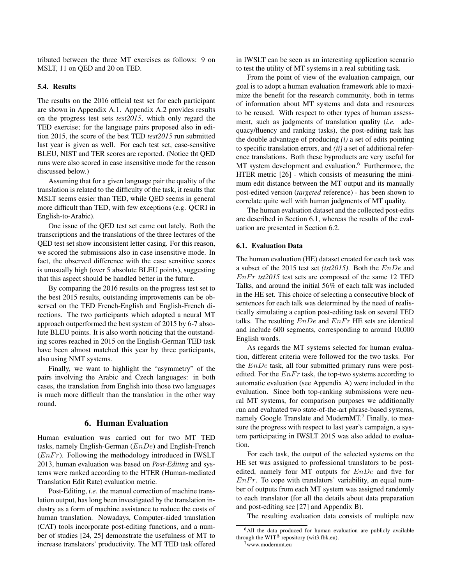tributed between the three MT exercises as follows: 9 on MSLT, 11 on QED and 20 on TED.

## 5.4. Results

The results on the 2016 official test set for each participant are shown in Appendix A.1. Appendix A.2 provides results on the progress test sets *test2015*, which only regard the TED exercise; for the language pairs proposed also in edition 2015, the score of the best TED *test2015* run submitted last year is given as well. For each test set, case-sensitive BLEU, NIST and TER scores are reported. (Notice tht QED runs were also scored in case insensitive mode for the reason discussed below.)

Assuming that for a given language pair the quality of the translation is related to the difficulty of the task, it results that MSLT seems easier than TED, while QED seems in general more difficult than TED, with few exceptions (e.g. QCRI in English-to-Arabic).

One issue of the QED test set came out lately. Both the transcriptions and the translations of the three lectures of the QED test set show inconsistent letter casing. For this reason, we scored the submissions also in case insensitive mode. In fact, the observed difference with the case sensitive scores is unusually high (over 5 absolute BLEU points), suggesting that this aspect should be handled better in the future.

By comparing the 2016 results on the progress test set to the best 2015 results, outstanding improvements can be observed on the TED French-English and English-French directions. The two participants which adopted a neural MT approach outperformed the best system of 2015 by 6-7 absolute BLEU points. It is also worth noticing that the outstanding scores reached in 2015 on the English-German TED task have been almost matched this year by three participants, also using NMT systems.

Finally, we want to highlight the "asymmetry" of the pairs involving the Arabic and Czech languages: in both cases, the translation from English into those two languages is much more difficult than the translation in the other way round.

#### 6. Human Evaluation

Human evaluation was carried out for two MT TED tasks, namely English-German  $(EnDe)$  and English-French  $(EnFr)$ . Following the methodology introduced in IWSLT 2013, human evaluation was based on *Post-Editing* and systems were ranked according to the HTER (Human-mediated Translation Edit Rate) evaluation metric.

Post-Editing, *i.e.* the manual correction of machine translation output, has long been investigated by the translation industry as a form of machine assistance to reduce the costs of human translation. Nowadays, Computer-aided translation (CAT) tools incorporate post-editing functions, and a number of studies [24, 25] demonstrate the usefulness of MT to increase translators' productivity. The MT TED task offered

in IWSLT can be seen as an interesting application scenario to test the utility of MT systems in a real subtitling task.

From the point of view of the evaluation campaign, our goal is to adopt a human evaluation framework able to maximize the benefit for the research community, both in terms of information about MT systems and data and resources to be reused. With respect to other types of human assessment, such as judgments of translation quality (*i.e.* adequacy/fluency and ranking tasks), the post-editing task has the double advantage of producing *(i)* a set of edits pointing to specific translation errors, and *(ii)* a set of additional reference translations. Both these byproducts are very useful for MT system development and evaluation.<sup>6</sup> Furthermore, the HTER metric [26] - which consists of measuring the minimum edit distance between the MT output and its manually post-edited version (*targeted* reference) - has been shown to correlate quite well with human judgments of MT quality.

The human evaluation dataset and the collected post-edits are described in Section 6.1, whereas the results of the evaluation are presented in Section 6.2.

#### 6.1. Evaluation Data

The human evaluation (HE) dataset created for each task was a subset of the 2015 test set *(tst2015)*. Both the EnDe and  $EnFr$  *tst2015* test sets are composed of the same 12 TED Talks, and around the initial 56% of each talk was included in the HE set. This choice of selecting a consecutive block of sentences for each talk was determined by the need of realistically simulating a caption post-editing task on several TED talks. The resulting  $EnDe$  and  $EnFr$  HE sets are identical and include 600 segments, corresponding to around 10,000 English words.

As regards the MT systems selected for human evaluation, different criteria were followed for the two tasks. For the  $EnDe$  task, all four submitted primary runs were postedited. For the  $EnFr$  task, the top-two systems according to automatic evaluation (see Appendix A) were included in the evaluation. Since both top-ranking submissions were neural MT systems, for comparison purposes we additionally run and evaluated two state-of-the-art phrase-based systems, namely Google Translate and ModernMT.<sup>7</sup> Finally, to measure the progress with respect to last year's campaign, a system participating in IWSLT 2015 was also added to evaluation.

For each task, the output of the selected systems on the HE set was assigned to professional translators to be postedited, namely four MT outputs for  $EnDe$  and five for  $EnFr$ . To cope with translators' variability, an equal number of outputs from each MT system was assigned randomly to each translator (for all the details about data preparation and post-editing see [27] and Appendix B).

The resulting evaluation data consists of multiple new

<sup>&</sup>lt;sup>6</sup>All the data produced for human evaluation are publicly available through the  $WIT^3$  repository (wit3.fbk.eu). <sup>7</sup>www.modernmt.eu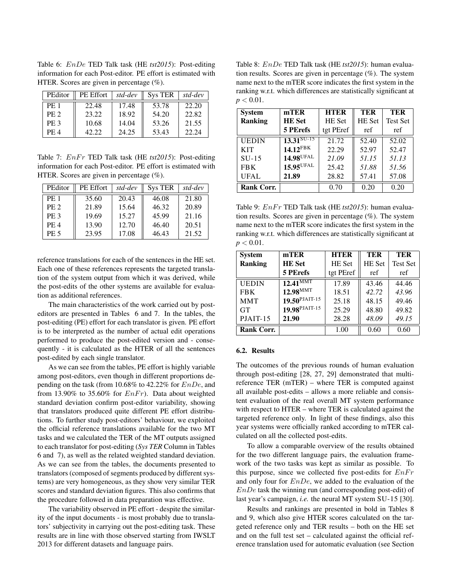Table 6: EnDe TED Talk task (HE *tst2015*): Post-editing information for each Post-editor. PE effort is estimated with HTER. Scores are given in percentage  $(\%).$ 

| PEditor         | PE Effort | std-dev | <b>Sys TER</b> | std-dev |
|-----------------|-----------|---------|----------------|---------|
| <b>PE 1</b>     | 22.48     | 17.48   | 53.78          | 22.20   |
| <b>PE 2</b>     | 23.22     | 18.92   | 54.20          | 22.82   |
| PE <sub>3</sub> | 10.68     | 14.04   | 53.26          | 21.55   |
| <b>PE4</b>      | 42.22     | 24.25   | 53.43          | 22.24   |

Table 7:  $EnFr$  TED Talk task (HE *tst2015*): Post-editing information for each Post-editor. PE effort is estimated with HTER. Scores are given in percentage  $(\%).$ 

| PEditor         | PE Effort | std-dev | <b>Sys TER</b> | std-dev |
|-----------------|-----------|---------|----------------|---------|
| <b>PE 1</b>     | 35.60     | 20.43   | 46.08          | 21.80   |
| PE <sub>2</sub> | 21.89     | 15.64   | 46.32          | 20.89   |
| PE <sub>3</sub> | 19.69     | 15.27   | 45.99          | 21.16   |
| PE <sub>4</sub> | 13.90     | 12.70   | 46.40          | 20.51   |
| <b>PE 5</b>     | 23.95     | 17.08   | 46.43          | 21.52   |

reference translations for each of the sentences in the HE set. Each one of these references represents the targeted translation of the system output from which it was derived, while the post-edits of the other systems are available for evaluation as additional references.

The main characteristics of the work carried out by posteditors are presented in Tables 6 and 7. In the tables, the post-editing (PE) effort for each translator is given. PE effort is to be interpreted as the number of actual edit operations performed to produce the post-edited version and - consequently - it is calculated as the HTER of all the sentences post-edited by each single translator.

As we can see from the tables, PE effort is highly variable among post-editors, even though in different proportions depending on the task (from 10.68% to 42.22% for EnDe, and from 13.90% to 35.60% for  $EnFr$ ). Data about weighted standard deviation confirm post-editor variability, showing that translators produced quite different PE effort distributions. To further study post-editors' behaviour, we exploited the official reference translations available for the two MT tasks and we calculated the TER of the MT outputs assigned to each translator for post-editing (*Sys TER* Column in Tables 6 and 7), as well as the related weighted standard deviation. As we can see from the tables, the documents presented to translators (composed of segments produced by different systems) are very homogeneous, as they show very similar TER scores and standard deviation figures. This also confirms that the procedure followed in data preparation was effective.

The variability observed in PE effort - despite the similarity of the input documents - is most probably due to translators' subjectivity in carrying out the post-editing task. These results are in line with those observed starting from IWSLT 2013 for different datasets and language pairs.

Table 8: EnDe TED Talk task (HE *tst2015*): human evaluation results. Scores are given in percentage (%). The system name next to the mTER score indicates the first system in the ranking w.r.t. which differences are statistically significant at  $p < 0.01$ .

| <b>System</b>     | mTER                   | <b>HTER</b> | TER    | TER             |
|-------------------|------------------------|-------------|--------|-----------------|
| <b>Ranking</b>    | <b>HE</b> Set          | HE Set      | HE Set | <b>Test Set</b> |
|                   | 5 PErefs               | tgt PEref   | ref    | ref             |
| <b>UEDIN</b>      | $13.31^{\text{SU-15}}$ | 21.72       | 52.40  | 52.02           |
| <b>KIT</b>        | $14.12$ FBK            | 22.29       | 52.97  | 52.47           |
| $SU-15$           | 14.98 <sup>UFAL</sup>  | 21.09       | 51.15  | 51.13           |
| <b>FBK</b>        | 15.95 <sup>UFAL</sup>  | 25.42       | 51.88  | 51.56           |
| UFAL              | 21.89                  | 28.82       | 57.41  | 57.08           |
| <b>Rank Corr.</b> |                        | 0.70        | 0.20   | 0.20            |

Table 9: EnFr TED Talk task (HE tst2015): human evaluation results. Scores are given in percentage  $(\%)$ . The system name next to the mTER score indicates the first system in the ranking w.r.t. which differences are statistically significant at  $p < 0.01$ .

| <b>System</b>     | mTER                      | <b>HTER</b> | <b>TER</b> | TER             |
|-------------------|---------------------------|-------------|------------|-----------------|
| <b>Ranking</b>    | <b>HE</b> Set             | HE Set      | HE Set     | <b>Test Set</b> |
|                   | 5 PErefs                  | tgt PEref   | ref        | ref             |
| <b>UEDIN</b>      | $12.41^{\text{MMT}}$      | 17.89       | 43.46      | 44.46           |
| <b>FBK</b>        | $12.98^{\mathrm{MMT}}$    | 18.51       | 42.72      | 43.96           |
| <b>MMT</b>        | $19.50^{PJAIT-15}$        | 25.18       | 48.15      | 49.46           |
| <b>GT</b>         | 19.98 <sup>PJAIT-15</sup> | 25.29       | 48.80      | 49.82           |
| $PIAIT-15$        | 21.90                     | 28.28       | 48.09      | 49.15           |
| <b>Rank Corr.</b> |                           | 1.00        | 0.60       | 0.60            |

#### 6.2. Results

The outcomes of the previous rounds of human evaluation through post-editing [28, 27, 29] demonstrated that multireference TER (mTER) – where TER is computed against all available post-edits – allows a more reliable and consistent evaluation of the real overall MT system performance with respect to HTER – where TER is calculated against the targeted reference only. In light of these findings, also this year systems were officially ranked according to mTER calculated on all the collected post-edits.

To allow a comparable overview of the results obtained for the two different language pairs, the evaluation framework of the two tasks was kept as similar as possible. To this purpose, since we collected five post-edits for  $EnFr$ and only four for  $EnDe$ , we added to the evaluation of the  $EnDe$  task the winning run (and corresponding post-edit) of last year's campaign, *i.e.* the neural MT system SU-15 [30].

Results and rankings are presented in bold in Tables 8 and 9, which also give HTER scores calculated on the targeted reference only and TER results – both on the HE set and on the full test set – calculated against the official reference translation used for automatic evaluation (see Section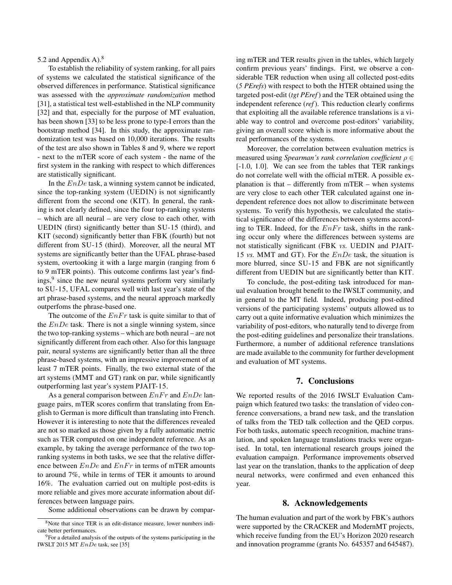## 5.2 and Appendix A).<sup>8</sup>

To establish the reliability of system ranking, for all pairs of systems we calculated the statistical significance of the observed differences in performance. Statistical significance was assessed with the *approximate randomization* method [31], a statistical test well-established in the NLP community [32] and that, especially for the purpose of MT evaluation, has been shown [33] to be less prone to type-I errors than the bootstrap method [34]. In this study, the approximate randomization test was based on 10,000 iterations. The results of the test are also shown in Tables 8 and 9, where we report - next to the mTER score of each system - the name of the first system in the ranking with respect to which differences are statistically significant.

In the  $EnDe$  task, a winning system cannot be indicated, since the top-ranking system (UEDIN) is not significantly different from the second one (KIT). In general, the ranking is not clearly defined, since the four top-ranking systems – which are all neural – are very close to each other, with UEDIN (first) significantly better than SU-15 (third), and KIT (second) significantly better than FBK (fourth) but not different from SU-15 (third). Moreover, all the neural MT systems are significantly better than the UFAL phrase-based system, overtooking it with a large margin (ranging from 6 to 9 mTER points). This outcome confirms last year's findings,<sup>9</sup> since the new neural systems perform very similarly to SU-15, UFAL compares well with last year's state of the art phrase-based systems, and the neural approach markedly outperfoms the phrase-based one.

The outcome of the  $EnFr$  task is quite similar to that of the  $EnDe$  task. There is not a single winning system, since the two top-ranking systems – which are both neural – are not significantly different from each other. Also for this language pair, neural systems are significantly better than all the three phrase-based systems, with an impressive improvement of at least 7 mTER points. Finally, the two external state of the art systems (MMT and GT) rank on par, while significantly outperforming last year's system PJAIT-15.

As a general comparison between  $EnFr$  and  $EnDe$  language pairs, mTER scores confirm that translating from English to German is more difficult than translating into French. However it is interesting to note that the differences revealed are not so marked as those given by a fully automatic metric such as TER computed on one independent reference. As an example, by taking the average performance of the two topranking systems in both tasks, we see that the relative difference between  $EnDe$  and  $EnFr$  in terms of mTER amounts to around 7%, while in terms of TER it amounts to around 16%. The evaluation carried out on multiple post-edits is more reliable and gives more accurate information about differences between language pairs.

Some additional observations can be drawn by compar-

ing mTER and TER results given in the tables, which largely confirm previous years' findings. First, we observe a considerable TER reduction when using all collected post-edits (*5 PErefs*) with respect to both the HTER obtained using the targeted post-edit (*tgt PEref*) and the TER obtained using the independent reference (*ref*). This reduction clearly confirms that exploiting all the available reference translations is a viable way to control and overcome post-editors' variability, giving an overall score which is more informative about the real performances of the systems.

Moreover, the correlation between evaluation metrics is measured using *Spearman's rank correlation coefficient* ρ ∈ [-1.0, 1.0]. We can see from the tables that TER rankings do not correlate well with the official mTER. A possible explanation is that – differently from mTER – when systems are very close to each other TER calculated against one independent reference does not allow to discriminate between systems. To verify this hypothesis, we calculated the statistical significance of the differences between systems according to TER. Indeed, for the  $EnFr$  task, shifts in the ranking occur only where the differences between systems are not statistically significant (FBK *vs.* UEDIN and PJAIT-15 *vs.* MMT and GT). For the EnDe task, the situation is more blurred, since SU-15 and FBK are not significantly different from UEDIN but are significantly better than KIT.

To conclude, the post-editing task introduced for manual evaluation brought benefit to the IWSLT community, and in general to the MT field. Indeed, producing post-edited versions of the participating systems' outputs allowed us to carry out a quite informative evaluation which minimizes the variability of post-editors, who naturally tend to diverge from the post-editing guidelines and personalize their translations. Furthermore, a number of additional reference translations are made available to the community for further development and evaluation of MT systems.

## 7. Conclusions

We reported results of the 2016 IWSLT Evaluation Campaign which featured two tasks: the translation of video conference conversations, a brand new task, and the translation of talks from the TED talk collection and the QED corpus. For both tasks, automatic speech recognition, machine translation, and spoken language translations tracks were organised. In total, ten international research groups joined the evaluation campaign. Performance improvements observed last year on the translation, thanks to the application of deep neural networks, were confirmed and even enhanced this year.

## 8. Acknowledgements

The human evaluation and part of the work by FBK's authors were supported by the CRACKER and ModernMT projects, which receive funding from the EU's Horizon 2020 research and innovation programme (grants No. 645357 and 645487).

<sup>8</sup>Note that since TER is an edit-distance measure, lower numbers indicate better performances.

<sup>&</sup>lt;sup>9</sup>For a detailed analysis of the outputs of the systems participating in the IWSLT 2015 MT EnDe task, see [35]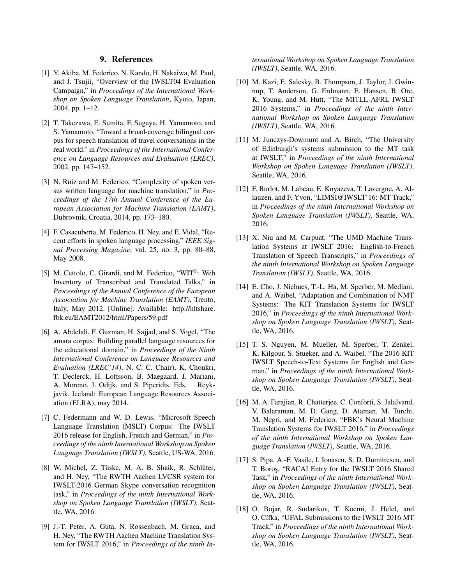#### 9. References

- [1] Y. Akiba, M. Federico, N. Kando, H. Nakaiwa, M. Paul, and J. Tsujii, "Overview of the IWSLT04 Evaluation Campaign," in *Proceedings of the International Workshop on Spoken Language Translation*, Kyoto, Japan, 2004, pp. 1–12.
- [2] T. Takezawa, E. Sumita, F. Sugaya, H. Yamamoto, and S. Yamamoto, "Toward a broad-coverage bilingual corpus for speech translation of travel conversations in the real world." in *Proceedings of the International Conference on Language Resources and Evaluation (LREC)*, 2002, pp. 147–152.
- [3] N. Ruiz and M. Federico, "Complexity of spoken versus written language for machine translation," in *Proceedings of the 17th Annual Conference of the European Association for Machine Translation (EAMT)*, Dubrovnik, Croatia, 2014, pp. 173–180.
- [4] F. Casacuberta, M. Federico, H. Ney, and E. Vidal, "Recent efforts in spoken language processing," *IEEE Signal Processing Magazine*, vol. 25, no. 3, pp. 80–88, May 2008.
- [5] M. Cettolo, C. Girardi, and M. Federico, "WIT<sup>3</sup>: Web Inventory of Transcribed and Translated Talks," in *Proceedings of the Annual Conference of the European Association for Machine Translation (EAMT)*, Trento, Italy, May 2012. [Online]. Available: http://hltshare. fbk.eu/EAMT2012/html/Papers/59.pdf
- [6] A. Abdelali, F. Guzman, H. Sajjad, and S. Vogel, "The amara corpus: Building parallel language resources for the educational domain," in *Proceedings of the Ninth International Conference on Language Resources and Evaluation (LREC'14)*, N. C. C. Chair), K. Choukri, T. Declerck, H. Loftsson, B. Maegaard, J. Mariani, A. Moreno, J. Odijk, and S. Piperidis, Eds. Reykjavik, Iceland: European Language Resources Association (ELRA), may 2014.
- [7] C. Federmann and W. D. Lewis, "Microsoft Speech Language Translation (MSLT) Corpus: The IWSLT 2016 release for English, French and German," in *Proceedings of the ninth International Workshop on Spoken Language Translation (IWSLT)*, Seattle, US-WA, 2016.
- [8] W. Michel, Z. Tüske, M. A. B. Shaik, R. Schlüter, and H. Ney, "The RWTH Aachen LVCSR system for IWSLT-2016 German Skype conversation recognition task," in *Proceedings of the ninth International Workshop on Spoken Language Translation (IWSLT)*, Seattle, WA, 2016.
- [9] J.-T. Peter, A. Guta, N. Rossenbach, M. Graca, and H. Ney, "The RWTH Aachen Machine Translation System for IWSLT 2016," in *Proceedings of the ninth In-*

*ternational Workshop on Spoken Language Translation (IWSLT)*, Seattle, WA, 2016.

- [10] M. Kazi, E. Salesky, B. Thompson, J. Taylor, J. Gwinnup, T. Anderson, G. Erdmann, E. Hansen, B. Ore, K. Young, and M. Hutt, "The MITLL-AFRL IWSLT 2016 Systems," in *Proceedings of the ninth International Workshop on Spoken Language Translation (IWSLT)*, Seattle, WA, 2016.
- [11] M. Junczys-Dowmunt and A. Birch, "The University" of Edinburgh's systems submission to the MT task at IWSLT," in *Proceedings of the ninth International Workshop on Spoken Language Translation (IWSLT)*, Seattle, WA, 2016.
- [12] F. Burlot, M. Labeau, E. Knyazeva, T. Lavergne, A. Allauzen, and F. Yvon, "LIMSI@IWSLT'16: MT Track," in *Proceedings of the ninth International Workshop on Spoken Language Translation (IWSLT)*, Seattle, WA, 2016.
- [13] X. Niu and M. Carpuat, "The UMD Machine Translation Systems at IWSLT 2016: English-to-French Translation of Speech Transcripts," in *Proceedings of the ninth International Workshop on Spoken Language Translation (IWSLT)*, Seattle, WA, 2016.
- [14] E. Cho, J. Niehues, T.-L. Ha, M. Sperber, M. Mediani, and A. Waibel, "Adaptation and Combination of NMT Systems: The KIT Translation Systems for IWSLT 2016," in *Proceedings of the ninth International Workshop on Spoken Language Translation (IWSLT)*, Seattle, WA, 2016.
- [15] T. S. Nguyen, M. Mueller, M. Sperber, T. Zenkel, K. Kilgour, S. Stueker, and A. Waibel, "The 2016 KIT IWSLT Speech-to-Text Systems for English and German," in *Proceedings of the ninth International Workshop on Spoken Language Translation (IWSLT)*, Seattle, WA, 2016.
- [16] M. A. Farajian, R. Chatterjee, C. Conforti, S. Jalalvand, V. Balaraman, M. D. Gang, D. Ataman, M. Turchi, M. Negri, and M. Federico, "FBK's Neural Machine Translation Systems for IWSLT 2016," in *Proceedings of the ninth International Workshop on Spoken Language Translation (IWSLT)*, Seattle, WA, 2016.
- [17] S. Pipa, A.-F. Vasile, I. Ionascu, S. D. Dumitrescu, and T. Boros¸, "RACAI Entry for the IWSLT 2016 Shared Task," in *Proceedings of the ninth International Workshop on Spoken Language Translation (IWSLT)*, Seattle, WA, 2016.
- [18] O. Bojar, R. Sudarikov, T. Kocmi, J. Helcl, and O. Cífka, "UFAL Submissions to the IWSLT 2016 MT Track," in *Proceedings of the ninth International Workshop on Spoken Language Translation (IWSLT)*, Seattle, WA, 2016.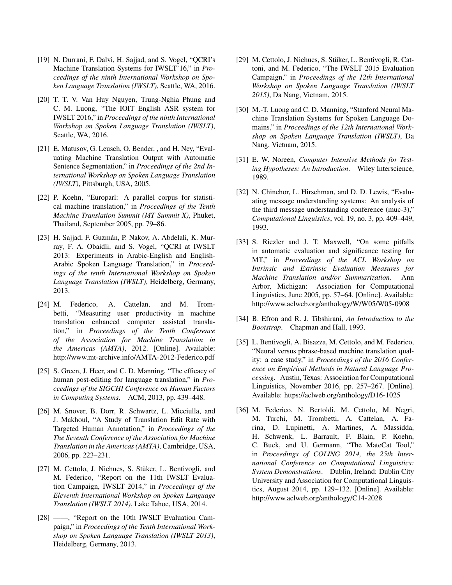- [19] N. Durrani, F. Dalvi, H. Sajjad, and S. Vogel, "QCRI's Machine Translation Systems for IWSLT'16," in *Proceedings of the ninth International Workshop on Spoken Language Translation (IWSLT)*, Seattle, WA, 2016.
- [20] T. T. V. Van Huy Nguyen, Trung-Nghia Phung and C. M. Luong, "The IOIT English ASR system for IWSLT 2016," in *Proceedings of the ninth International Workshop on Spoken Language Translation (IWSLT)*, Seattle, WA, 2016.
- [21] E. Matusov, G. Leusch, O. Bender, , and H. Ney, "Evaluating Machine Translation Output with Automatic Sentence Segmentation," in *Proceedings of the 2nd International Workshop on Spoken Language Translation (IWSLT)*, Pittsburgh, USA, 2005.
- [22] P. Koehn, "Europarl: A parallel corpus for statistical machine translation," in *Proceedings of the Tenth Machine Translation Summit (MT Summit X)*, Phuket, Thailand, September 2005, pp. 79–86.
- [23] H. Sajjad, F. Guzmán, P. Nakov, A. Abdelali, K. Murray, F. A. Obaidli, and S. Vogel, "QCRI at IWSLT 2013: Experiments in Arabic-English and English-Arabic Spoken Language Translation," in *Proceedings of the tenth International Workshop on Spoken Language Translation (IWSLT)*, Heidelberg, Germany, 2013.
- [24] M. Federico, A. Cattelan, and M. Trombetti, "Measuring user productivity in machine translation enhanced computer assisted translation," in *Proceedings of the Tenth Conference of the Association for Machine Translation in the Americas (AMTA)*, 2012. [Online]. Available: http://www.mt-archive.info/AMTA-2012-Federico.pdf
- [25] S. Green, J. Heer, and C. D. Manning, "The efficacy of human post-editing for language translation," in *Proceedings of the SIGCHI Conference on Human Factors in Computing Systems*. ACM, 2013, pp. 439–448.
- [26] M. Snover, B. Dorr, R. Schwartz, L. Micciulla, and J. Makhoul, "A Study of Translation Edit Rate with Targeted Human Annotation," in *Proceedings of the The Seventh Conference of the Association for Machine Translation in the Americas (AMTA)*, Cambridge, USA, 2006, pp. 223–231.
- [27] M. Cettolo, J. Niehues, S. Stüker, L. Bentivogli, and M. Federico, "Report on the 11th IWSLT Evaluation Campaign, IWSLT 2014," in *Proceedings of the Eleventh International Workshop on Spoken Language Translation (IWSLT 2014)*, Lake Tahoe, USA, 2014.
- [28] ——, "Report on the 10th IWSLT Evaluation Campaign," in *Proceedings of the Tenth International Workshop on Spoken Language Translation (IWSLT 2013)*, Heidelberg, Germany, 2013.
- [29] M. Cettolo, J. Niehues, S. Stüker, L. Bentivogli, R. Cattoni, and M. Federico, "The IWSLT 2015 Evaluation Campaign," in *Proceedings of the 12th International Workshop on Spoken Language Translation (IWSLT 2015)*, Da Nang, Vietnam, 2015.
- [30] M.-T. Luong and C. D. Manning, "Stanford Neural Machine Translation Systems for Spoken Language Domains," in *Proceedings of the 12th International Workshop on Spoken Language Translation (IWSLT)*, Da Nang, Vietnam, 2015.
- [31] E. W. Noreen, *Computer Intensive Methods for Testing Hypotheses: An Introduction*. Wiley Interscience, 1989.
- [32] N. Chinchor, L. Hirschman, and D. D. Lewis, "Evaluating message understanding systems: An analysis of the third message understanding conference (muc-3)," *Computational Linguistics*, vol. 19, no. 3, pp. 409–449, 1993.
- [33] S. Riezler and J. T. Maxwell, "On some pitfalls in automatic evaluation and significance testing for MT," in *Proceedings of the ACL Workshop on Intrinsic and Extrinsic Evaluation Measures for Machine Translation and/or Summarization*. Ann Arbor, Michigan: Association for Computational Linguistics, June 2005, pp. 57–64. [Online]. Available: http://www.aclweb.org/anthology/W/W05/W05-0908
- [34] B. Efron and R. J. Tibshirani, *An Introduction to the Bootstrap*. Chapman and Hall, 1993.
- [35] L. Bentivogli, A. Bisazza, M. Cettolo, and M. Federico, "Neural versus phrase-based machine translation quality: a case study," in *Proceedings of the 2016 Conference on Empirical Methods in Natural Language Processing*. Austin, Texas: Association for Computational Linguistics, November 2016, pp. 257–267. [Online]. Available: https://aclweb.org/anthology/D16-1025
- [36] M. Federico, N. Bertoldi, M. Cettolo, M. Negri, M. Turchi, M. Trombetti, A. Cattelan, A. Farina, D. Lupinetti, A. Martines, A. Massidda, H. Schwenk, L. Barrault, F. Blain, P. Koehn, C. Buck, and U. Germann, "The MateCat Tool," in *Proceedings of COLING 2014, the 25th International Conference on Computational Linguistics: System Demonstrations*. Dublin, Ireland: Dublin City University and Association for Computational Linguistics, August 2014, pp. 129–132. [Online]. Available: http://www.aclweb.org/anthology/C14-2028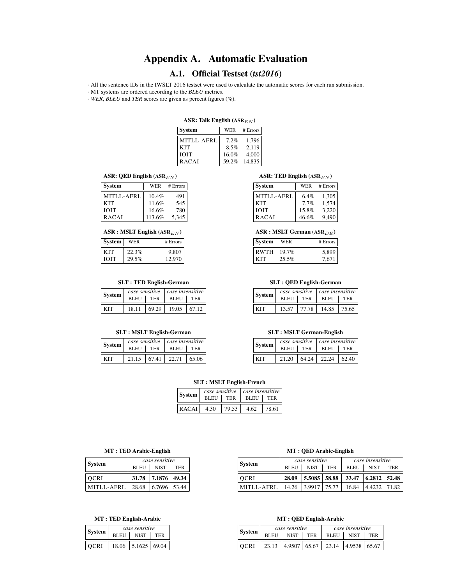# Appendix A. Automatic Evaluation

## A.1. Official Testset (*tst2016*)

· All the sentence IDs in the IWSLT 2016 testset were used to calculate the automatic scores for each run submission.

· MT systems are ordered according to the *BLEU* metrics.

· *WER*, *BLEU* and *TER* scores are given as percent figures (%).

#### ASR: Talk English  $(ASR_{EN})$

| <b>System</b> | WER   | # Errors |
|---------------|-------|----------|
| MITLL-AFRL    | 7.2%  | 1,796    |
| <b>KIT</b>    | 8.5%  | 2,119    |
| <b>IOIT</b>   | 16.0% | 4,000    |
| <b>RACAI</b>  | 59.2% | 14.835   |

#### ASR: QED English  $(\text{ASR}_{EN})$

| <b>System</b> | WER    | # Errors |
|---------------|--------|----------|
| MITLL-AFRL    | 10.4%  | 491      |
| KIT           | 11.6%  | 545      |
| <b>IOIT</b>   | 16.6%  | 780      |
| <b>RACAI</b>  | 113.6% | 5.345    |

#### $\operatorname{ASR}$  : MSLT English  $(\operatorname{ASR}_{EN})$

| System | WER   | # Errors |
|--------|-------|----------|
| ĽГ     | 22.3% | 9,807    |
| ыт     | 29.5% | 970      |

#### SLT : TED English-German

| <b>System</b> | case sensitive     |       | $\vert$ case insensitive |       |
|---------------|--------------------|-------|--------------------------|-------|
|               | <b>BLEU</b><br>TER |       | BLEU                     | TER   |
| KIT           | 18.11              | 69.29 | 19.05                    | 67.12 |

#### SLT : MSLT English-German

| <b>System</b> |             |       | $case$ sensitive $\mid$ case insensitive |            |
|---------------|-------------|-------|------------------------------------------|------------|
|               | <b>BLEU</b> | TER   | <b>BLEU</b>                              | <b>TER</b> |
| KIT           | 21.15       | 67.41 | 22.71                                    | 65.06      |

#### ASR: TED English  $(\text{ASR}_{EN})$

| <b>System</b> | WER     | # Errors |
|---------------|---------|----------|
| MITLL-AFRL    | $6.4\%$ | 1,305    |
| <b>KIT</b>    | 7.7%    | 1.574    |
| <b>IOIT</b>   | 15.8%   | 3,220    |
| <b>RACAI</b>  | 46.6%   | 9.490    |

#### $ASR : MSLT$  German  $(ASR<sub>DE</sub>)$

| System      | WER   | # Errors |
|-------------|-------|----------|
| <b>RWTH</b> | 19.7% |          |
| · I'I∵      | 25.5% | 7.671    |

#### SLT : QED English-German

| System | case sensitive     |       | case insensitive |            |  |
|--------|--------------------|-------|------------------|------------|--|
|        | <b>BLEU</b><br>TER |       | <b>BLEU</b>      | <b>TER</b> |  |
| KIT    | 13.57              | 77.78 | 14.85            | 75.65      |  |

#### SLT : MSLT German-English

| <b>System</b> |       | case sensitive   case insensitive |                   |     |
|---------------|-------|-----------------------------------|-------------------|-----|
|               |       | BLEU TER                          |                   | TER |
| KIT           | 21.20 | 64.24                             | $22.24 \pm 62.40$ |     |

#### SLT : MSLT English-French

| <b>System</b> | case sensitive     |       | case insensitive |            |
|---------------|--------------------|-------|------------------|------------|
|               | <b>BLEU</b><br>TER |       | <b>BLEU</b>      | <b>TER</b> |
| <b>RACAI</b>  | 4.30               | 79.53 | 4.62             | 78.61      |

#### MT : TED Arabic-English

| <b>System</b>     |        | case sensitive     |            |
|-------------------|--------|--------------------|------------|
|                   | BLEU 1 | <b>NIST</b>        | <b>TER</b> |
| OCRI              |        | 31.78 7.1876 49.34 |            |
| <b>MITLL-AFRL</b> | 28.68  | $6.7696$ 53.44     |            |

#### MT : TED English-Arabic

| System | case sensitive |                     |            |  |
|--------|----------------|---------------------|------------|--|
|        | <b>BLEU</b>    | <b>NIST</b>         | <b>TER</b> |  |
| OCRI   | 18.06          | $5.1625 \mid 69.04$ |            |  |

#### MT : QED Arabic-English

| <b>System</b> | case sensitive |              |            | case insensitive                               |              |            |
|---------------|----------------|--------------|------------|------------------------------------------------|--------------|------------|
|               | <b>BLEU</b>    | <b>NIST</b>  | <b>TER</b> | <b>BLEU</b>                                    | <b>NIST</b>  | <b>TER</b> |
| <b>OCRI</b>   | 28.09          |              |            | $\mid$ 5.5085   58.88   33.47   6.2812   52.48 |              |            |
| MITLL-AFRL    | 14.26          | 3.9917 75.77 |            | 16.84                                          | 4.4232 71.82 |            |

#### MT : QED English-Arabic

| System | case sensitive |                                  |            |             | case insensitive |            |
|--------|----------------|----------------------------------|------------|-------------|------------------|------------|
|        | <b>BLEU</b>    | <b>NIST</b>                      | <b>TER</b> | <b>BLEU</b> | <b>NIST</b>      | <b>TER</b> |
| OCRI   |                | $23.13$   4.9507   65.67   23.14 |            |             | 4.9538 65.67     |            |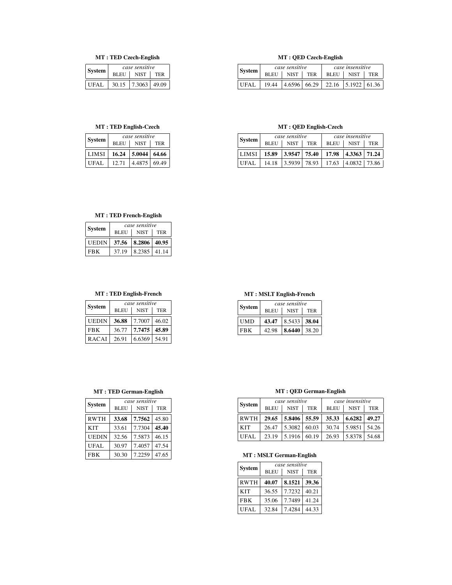## MT : TED Czech-English

| <b>System</b> |                                          | case sensitive      |  |  |
|---------------|------------------------------------------|---------------------|--|--|
|               | <b>NIST</b><br><b>BLEU</b><br><b>TER</b> |                     |  |  |
| UFAL.         | 30.15                                    | $7.3063 \mid 49.09$ |  |  |

#### MT : TED English-Czech

| <b>System</b> | case sensitive |                     |            |  |  |
|---------------|----------------|---------------------|------------|--|--|
|               | <b>BLEU</b>    | <b>NIST</b>         | <b>TER</b> |  |  |
| <b>LIMSI</b>  | 16.24          | $5.0044 \mid 64.66$ |            |  |  |
|               |                |                     |            |  |  |

## MT : QED Czech-English

| <b>System</b> | case sensitive |              |            | case insensitive |                  |            |
|---------------|----------------|--------------|------------|------------------|------------------|------------|
|               | <b>BLEU</b>    | <b>NIST</b>  | <b>TER</b> | <b>BLEU</b>      | <b>NIST</b>      | <b>TER</b> |
| <b>IIFAI</b>  | 19.44          | 4.6596 66.29 |            |                  | $22.16$   5.1922 | 61.36      |

## MT : QED English-Czech

| System                                                  | case sensitive |          | case insensitive |                                       |             |            |
|---------------------------------------------------------|----------------|----------|------------------|---------------------------------------|-------------|------------|
|                                                         | <b>BLEU</b>    | $ $ NIST | TER              | <b>BLEU</b>                           | <b>NIST</b> | <b>TER</b> |
| LIMSI   15.89   3.9547   75.40   17.98   4.3363   71.24 |                |          |                  |                                       |             |            |
| UFAL.                                                   |                |          |                  | 14.18 3.5939 78.93 77.63 4.0832 73.86 |             |            |

## MT : TED French-English

| <b>System</b> | case sensitive |              |            |  |  |
|---------------|----------------|--------------|------------|--|--|
|               | <b>BLEU</b>    | <b>NIST</b>  | <b>TER</b> |  |  |
| <b>UEDIN</b>  | 37.56          | 8.2806 40.95 |            |  |  |
| <b>FRK</b>    | 37.19          | 8.2385 41.14 |            |  |  |

## MT : TED English-French

| System       | case sensitive |             |            |  |  |
|--------------|----------------|-------------|------------|--|--|
|              | <b>BLEU</b>    | <b>NIST</b> | <b>TER</b> |  |  |
| <b>UEDIN</b> | 36.88          | 7.7007      | 46.02      |  |  |
| <b>FBK</b>   | 36.77          | 7.7475      | 45.89      |  |  |
| <b>RACAI</b> | 26.91          | 6.6369      | 54.91      |  |  |

## MT : MSLT English-French

| <b>System</b> | case sensitive |                  |            |  |  |
|---------------|----------------|------------------|------------|--|--|
|               | <b>BLEU</b>    | <b>NIST</b>      | <b>TER</b> |  |  |
| <b>UMD</b>    | 43.47          | $ 8.5433 $ 38.04 |            |  |  |
| <b>FRK</b>    | 42.98          | 8.6440           | 38.20      |  |  |

#### MT : TED German-English

| <b>System</b> | case sensitive             |        |            |  |  |
|---------------|----------------------------|--------|------------|--|--|
|               | <b>NIST</b><br><b>BLEU</b> |        | <b>TER</b> |  |  |
| <b>RWTH</b>   | 33.68                      | 7.7562 | 45.80      |  |  |
| <b>KIT</b>    | 33.61                      | 7.7304 | 45.40      |  |  |
| UEDIN         | 32.56                      | 7.5873 | 46.15      |  |  |
| UFAL.         | 30.97                      | 7.4057 | 47.54      |  |  |
| <b>FBK</b>    | 30.30                      | 7.2259 | 47.65      |  |  |

## MT : QED German-English

| <b>System</b> | case sensitive |                | case insensitive |             |             |            |
|---------------|----------------|----------------|------------------|-------------|-------------|------------|
|               | <b>BLEU</b>    | <b>NIST</b>    | <b>TER</b>       | <b>BLEU</b> | <b>NIST</b> | <b>TER</b> |
| <b>RWTH</b>   | 29.65          | $5.8406$ 55.59 |                  | 35.33       | 6.6282      | 49.27      |
| <b>KIT</b>    | 26.47          | 5.3082         | 60.03            | 30.74       | 5.9851      | 54.26      |
| UFAL          | 23.19          | 5.1916         | 60.19            | 26.93       | 5.8378      | 54.68      |

## MT : MSLT German-English

| <b>System</b> | case sensitive |             |            |  |  |
|---------------|----------------|-------------|------------|--|--|
|               | <b>BLEU</b>    | <b>NIST</b> | <b>TER</b> |  |  |
| <b>RWTH</b>   | 40.07          | 8.1521      | 39.36      |  |  |
| <b>KIT</b>    | 36.55          | 7.7232      | 40.21      |  |  |
| <b>FBK</b>    | 35.06          | 7.7489      | 41.24      |  |  |
| UFAL          | 32.84          | 7.4284      | 44.33      |  |  |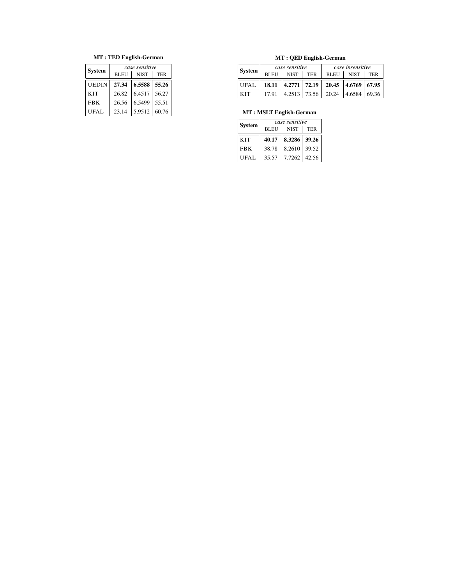## MT : TED English-German

| <b>System</b> | case sensitive |             |            |  |  |  |
|---------------|----------------|-------------|------------|--|--|--|
|               | <b>BLEU</b>    | <b>NIST</b> | <b>TER</b> |  |  |  |
| <b>UEDIN</b>  | 27.34          | 6.5588      | 55.26      |  |  |  |
| <b>KIT</b>    | 26.82          | 6.4517      | 56.27      |  |  |  |
| <b>FBK</b>    | 26.56          | 6.5499      | 55.51      |  |  |  |
| <b>UFAL</b>   | 23.14          | 5.9512      | 60.76      |  |  |  |

## MT : QED English-German

| <b>System</b> | case sensitive |                |     | case insensitive                                                 |                  |            |
|---------------|----------------|----------------|-----|------------------------------------------------------------------|------------------|------------|
|               | BLEU           | <b>NIST</b>    | TER | BLEU                                                             | <b>NIST</b>      | <b>TER</b> |
| UFAL.         |                |                |     | $18.11 \mid 4.2771 \mid 72.19 \mid 20.45 \mid 4.6769 \mid 67.95$ |                  |            |
| <b>KIT</b>    | 17.91          | $4.2513$ 73.56 |     | 20.24                                                            | $ 4.6584 $ 69.36 |            |

## MT : MSLT English-German

| <b>System</b> | case sensitive |              |            |  |
|---------------|----------------|--------------|------------|--|
|               | <b>BLEU</b>    | <b>NIST</b>  | <b>TER</b> |  |
| <b>KIT</b>    | 40.17          | 8.3286 39.26 |            |  |
| <b>FBK</b>    | 38.78          | 8.2610       | 39.52      |  |
| UFAL          | 35.57          | 7.7262       | 42.56      |  |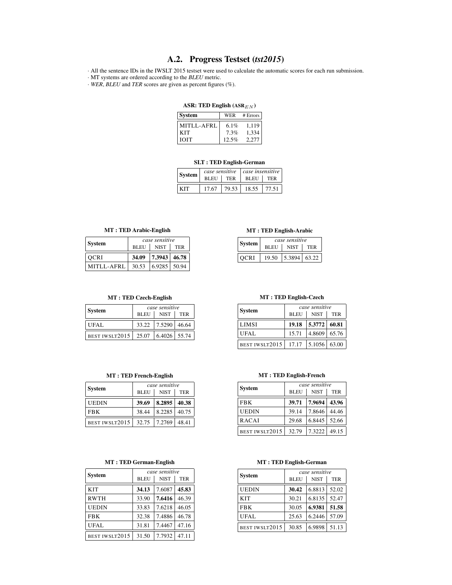## A.2. Progress Testset (*tst2015*)

· All the sentence IDs in the IWSLT 2015 testset were used to calculate the automatic scores for each run submission.

· MT systems are ordered according to the *BLEU* metric.

· *WER*, *BLEU* and *TER* scores are given as percent figures (%).

#### ASR: TED English  $(ASR_{EN})$

| <b>System</b> | WER   | # Errors |
|---------------|-------|----------|
| MITLL-AFRL    | 6.1%  | 1,119    |
| <b>KIT</b>    | 7.3%  | 1,334    |
| <b>TOIT</b>   | 12.5% | 2.277    |

#### SLT : TED English-German

| case sensitive<br><b>System</b><br><b>BLEU</b><br><b>TER</b> |       |       | case insensitive |       |
|--------------------------------------------------------------|-------|-------|------------------|-------|
|                                                              |       |       | <b>BLEU</b>      | TER   |
| KIT                                                          | 17.67 | 79.53 | 18.55            | 77.51 |

#### MT : TED Arabic-English

| System     | case sensitive |                |     |
|------------|----------------|----------------|-----|
|            | <b>BLEU</b>    | <b>NIST</b>    | TER |
| OCRI       | 34.09          | 7.3943 46.78   |     |
| MITLL-AFRL | 30.53          | $6.9285$ 50.94 |     |

#### MT : TED Czech-English

| <b>System</b>                | case sensitive |                    |            |
|------------------------------|----------------|--------------------|------------|
|                              | <b>BLEU</b>    | <b>NIST</b>        | <b>TER</b> |
| UFAL                         |                | 33.22 7.5290 46.64 |            |
| BEST IWSLT2015 $\vert$ 25.07 |                | 6.4026 55.74       |            |

#### MT : TED French-English

| <b>System</b>  | case sensitive |              |            |
|----------------|----------------|--------------|------------|
|                | <b>BLEU</b>    | <b>NIST</b>  | <b>TER</b> |
| <b>UEDIN</b>   | 39.69          | 8.2895 40.38 |            |
| <b>FBK</b>     | 38.44          | 8.2285       | 40.75      |
| BEST IWSLT2015 | 32.75          | 17.2769      | 48.41      |

#### MT : TED German-English

| <b>System</b>  | case sensitive |             |            |
|----------------|----------------|-------------|------------|
|                | <b>BLEU</b>    | <b>NIST</b> | <b>TER</b> |
| <b>KIT</b>     | 34.13          | 7.6087      | 45.83      |
| <b>RWTH</b>    | 33.90          | 7.6416      | 46.39      |
| <b>UEDIN</b>   | 33.83          | 7.6218      | 46.05      |
| <b>FBK</b>     | 32.38          | 7.4886      | 46.78      |
| UFAL           | 31.81          | 7.4467      | 47.16      |
| BEST IWSLT2015 | 31.50          | 7.7932      | 47.11      |

#### MT : TED English-Arabic

|             | case sensitive |              |            |  |
|-------------|----------------|--------------|------------|--|
| System      | <b>BLEU</b>    | <b>NIST</b>  | <b>TER</b> |  |
| <b>OCRI</b> | 19.50          | 5.3894 63.22 |            |  |

#### MT : TED English-Czech

| <b>System</b>  | case sensitive |                     |     |
|----------------|----------------|---------------------|-----|
|                | <b>BLEU</b>    | <b>NIST</b>         | TER |
| LIMSI          | 19.18          | $5.3772 \mid 60.81$ |     |
| UFAL           | 15.71          | $4.8609 \mid 65.76$ |     |
| BEST IWSLT2015 | 17.17          | $5.1056 \mid 63.00$ |     |

#### MT : TED English-French

| System         | case sensitive |             |            |
|----------------|----------------|-------------|------------|
|                | <b>BLEU</b>    | <b>NIST</b> | <b>TER</b> |
| <b>FBK</b>     | 39.71          | 7.9694      | 43.96      |
| UEDIN          | 39.14          | 7.8646      | 44.46      |
| RACAI          | 29.68          | 6.8445      | 52.66      |
| BEST IWSLT2015 | 32.79          | 7.3222      | 49.15      |

## System *case sensitive* BLEU | NIST | TER UEDIN  $30.42 | 6.8813 | 52.02$ KIT 30.21 6.8135 52.47 FBK 30.05 6.9381 51.58 UFAL 25.63 6.2446 57.09 BEST IWSLT2015 30.85 6.9898 51.13

#### MT : TED English-German